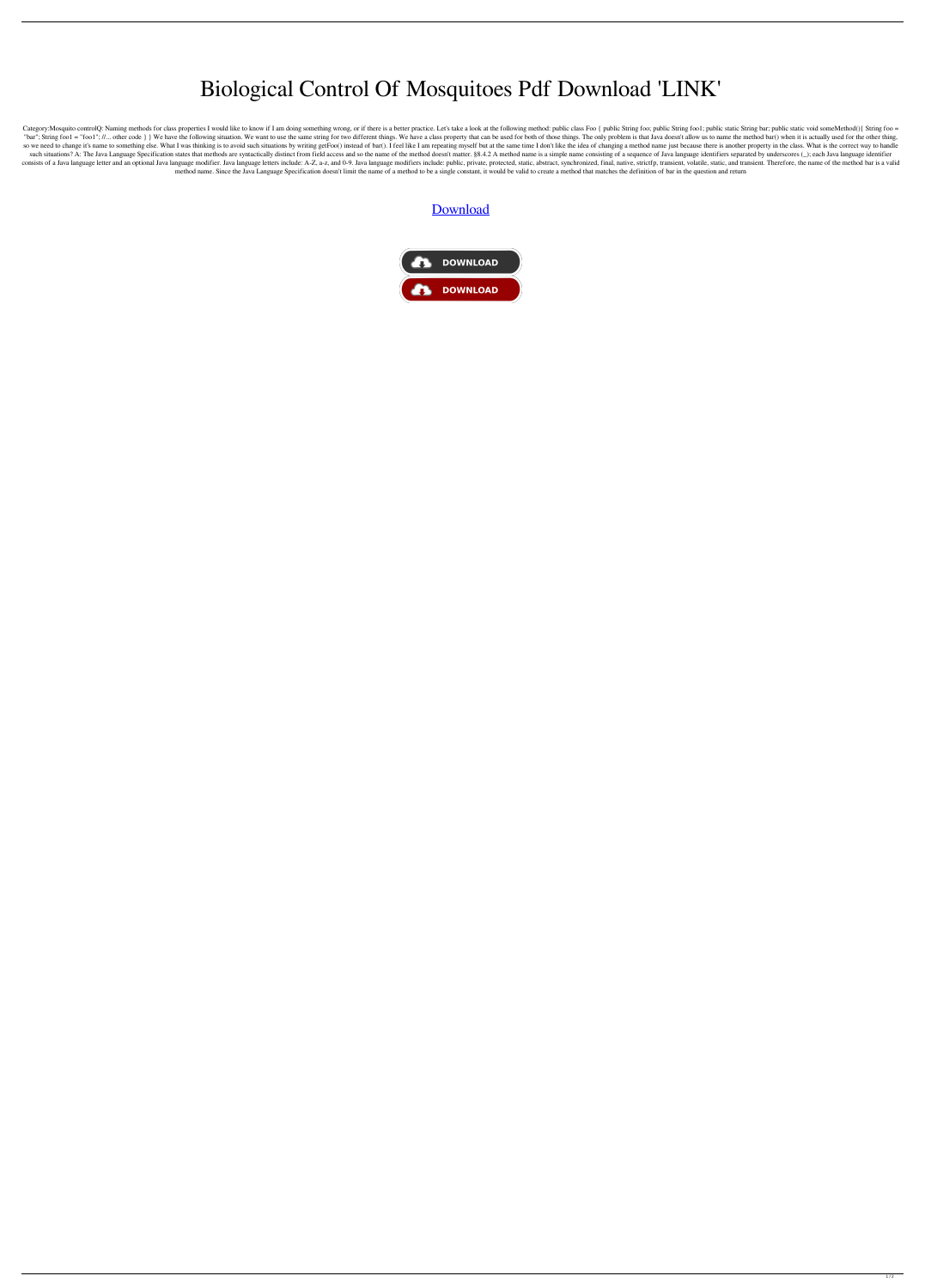## Biological Control Of Mosquitoes Pdf Download 'LINK'

Category:Mosquito controlQ: Naming methods for class properties I would like to know if I am doing something wrong, or if there is a better practice. Let's take a look at the following method: public class Foo { public Str "bar"; String foo1 = "foo1"; //... other code } } We have the following situation. We want to use the same string for two different things. We have a class property that can be used for both of those things. The only probl so we need to change it's name to something else. What I was thinking is to avoid such situations by writing getFoo() instead of bar(). I feel like I am repeating myself but at the same time I don't like the idea of changi such situations? A: The Java Language Specification states that methods are syntactically distinct from field access and so the name of the method doesn't matter. \$8.4.2 A method name is a simple name consisting of a seque consists of a Java language letter and an optional Java language modifier. Java language letters include: A-Z, a-z, and 0-9. Java language modifiers include: public, private, protected, static, abstract, synchronized, fina method name. Since the Java Language Specification doesn't limit the name of a method to be a single constant, it would be valid to create a method that matches the definition of bar in the question and return

## [Download](http://evacdir.com/bankroll/ZG93bmxvYWR8UkszT0dVNWZId3hOalUwTXpRME9EZzBmSHd5TlRjMGZId29UU2tnY21WaFpDMWliRzluSUZ0R1lYTjBJRWRGVGww/cloudier/krylon/QmlvbG9naWNhbCBDb250cm9sIE9mIE1vc3F1aXRvZXMgUGRmIERvd25sb2FkQml/skins.arunachal.pinakotheke)